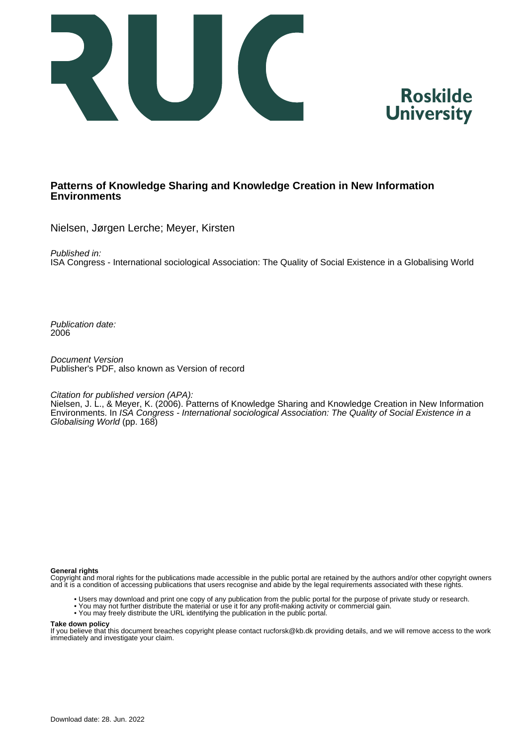



### **Patterns of Knowledge Sharing and Knowledge Creation in New Information Environments**

Nielsen, Jørgen Lerche; Meyer, Kirsten

Published in:

ISA Congress - International sociological Association: The Quality of Social Existence in a Globalising World

Publication date: 2006

Document Version Publisher's PDF, also known as Version of record

Citation for published version (APA):

Nielsen, J. L., & Meyer, K. (2006). Patterns of Knowledge Sharing and Knowledge Creation in New Information Environments. In ISA Congress - International sociological Association: The Quality of Social Existence in a Globalising World (pp. 168)

**General rights**

Copyright and moral rights for the publications made accessible in the public portal are retained by the authors and/or other copyright owners and it is a condition of accessing publications that users recognise and abide by the legal requirements associated with these rights.

- Users may download and print one copy of any publication from the public portal for the purpose of private study or research.
- You may not further distribute the material or use it for any profit-making activity or commercial gain.
- You may freely distribute the URL identifying the publication in the public portal.

#### **Take down policy**

If you believe that this document breaches copyright please contact rucforsk@kb.dk providing details, and we will remove access to the work immediately and investigate your claim.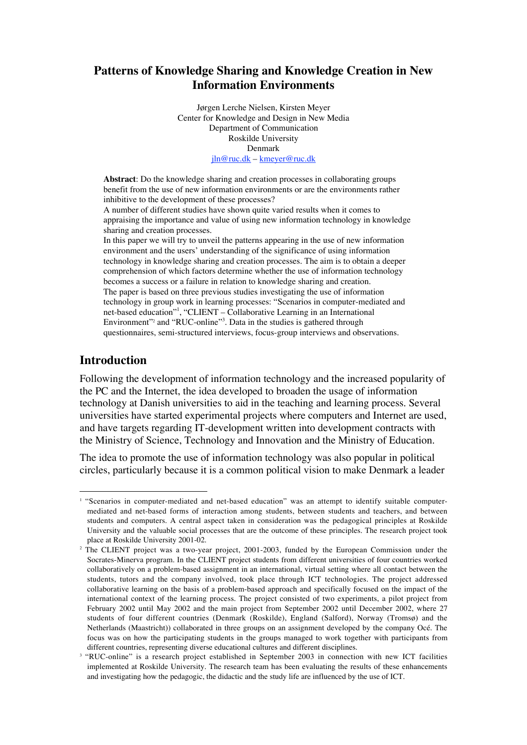# **Patterns of Knowledge Sharing and Knowledge Creation in New Information Environments**

Jørgen Lerche Nielsen, Kirsten Meyer Center for Knowledge and Design in New Media Department of Communication Roskilde University Denmark jln@ruc.dk – kmeyer@ruc.dk

**Abstract**: Do the knowledge sharing and creation processes in collaborating groups benefit from the use of new information environments or are the environments rather inhibitive to the development of these processes?

A number of different studies have shown quite varied results when it comes to appraising the importance and value of using new information technology in knowledge sharing and creation processes.

In this paper we will try to unveil the patterns appearing in the use of new information environment and the users' understanding of the significance of using information technology in knowledge sharing and creation processes. The aim is to obtain a deeper comprehension of which factors determine whether the use of information technology becomes a success or a failure in relation to knowledge sharing and creation. The paper is based on three previous studies investigating the use of information technology in group work in learning processes: "Scenarios in computer-mediated and net-based education"<sup>1</sup> , "CLIENT – Collaborative Learning in an International Environment"<sup>2</sup> and "RUC-online"<sup>3</sup>. Data in the studies is gathered through questionnaires, semi-structured interviews, focus-group interviews and observations.

### **Introduction**

Following the development of information technology and the increased popularity of the PC and the Internet, the idea developed to broaden the usage of information technology at Danish universities to aid in the teaching and learning process. Several universities have started experimental projects where computers and Internet are used, and have targets regarding IT-development written into development contracts with the Ministry of Science, Technology and Innovation and the Ministry of Education.

The idea to promote the use of information technology was also popular in political circles, particularly because it is a common political vision to make Denmark a leader

<sup>&</sup>lt;sup>1</sup> "Scenarios in computer-mediated and net-based education" was an attempt to identify suitable computermediated and net-based forms of interaction among students, between students and teachers, and between students and computers. A central aspect taken in consideration was the pedagogical principles at Roskilde University and the valuable social processes that are the outcome of these principles. The research project took place at Roskilde University 2001-02.

<sup>&</sup>lt;sup>2</sup> The CLIENT project was a two-year project, 2001-2003, funded by the European Commission under the Socrates-Minerva program. In the CLIENT project students from different universities of four countries worked collaboratively on a problem-based assignment in an international, virtual setting where all contact between the students, tutors and the company involved, took place through ICT technologies. The project addressed collaborative learning on the basis of a problem-based approach and specifically focused on the impact of the international context of the learning process. The project consisted of two experiments, a pilot project from February 2002 until May 2002 and the main project from September 2002 until December 2002, where 27 students of four different countries (Denmark (Roskilde), England (Salford), Norway (Tromsø) and the Netherlands (Maastricht)) collaborated in three groups on an assignment developed by the company Océ. The focus was on how the participating students in the groups managed to work together with participants from different countries, representing diverse educational cultures and different disciplines.

<sup>&</sup>lt;sup>3</sup> "RUC-online" is a research project established in September 2003 in connection with new ICT facilities implemented at Roskilde University. The research team has been evaluating the results of these enhancements and investigating how the pedagogic, the didactic and the study life are influenced by the use of ICT.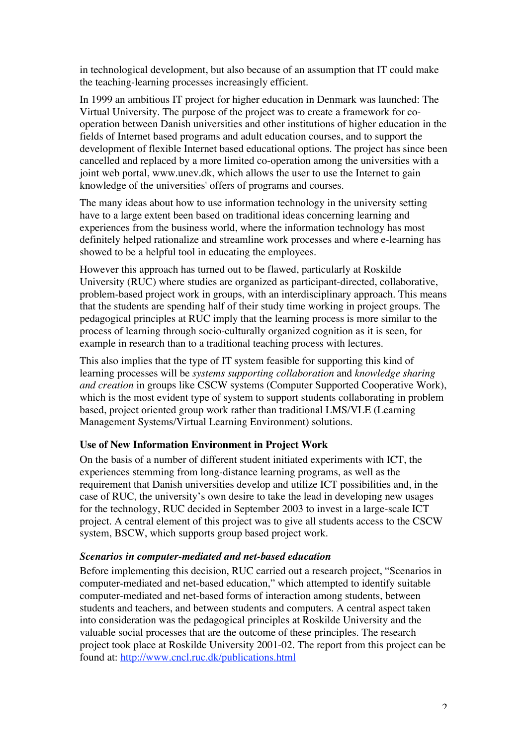in technological development, but also because of an assumption that IT could make the teaching-learning processes increasingly efficient.

In 1999 an ambitious IT project for higher education in Denmark was launched: The Virtual University. The purpose of the project was to create a framework for cooperation between Danish universities and other institutions of higher education in the fields of Internet based programs and adult education courses, and to support the development of flexible Internet based educational options. The project has since been cancelled and replaced by a more limited co-operation among the universities with a joint web portal, www.unev.dk, which allows the user to use the Internet to gain knowledge of the universities' offers of programs and courses.

The many ideas about how to use information technology in the university setting have to a large extent been based on traditional ideas concerning learning and experiences from the business world, where the information technology has most definitely helped rationalize and streamline work processes and where e-learning has showed to be a helpful tool in educating the employees.

However this approach has turned out to be flawed, particularly at Roskilde University (RUC) where studies are organized as participant-directed, collaborative, problem-based project work in groups, with an interdisciplinary approach. This means that the students are spending half of their study time working in project groups. The pedagogical principles at RUC imply that the learning process is more similar to the process of learning through socio-culturally organized cognition as it is seen, for example in research than to a traditional teaching process with lectures.

This also implies that the type of IT system feasible for supporting this kind of learning processes will be *systems supporting collaboration* and *knowledge sharing and creation* in groups like CSCW systems (Computer Supported Cooperative Work), which is the most evident type of system to support students collaborating in problem based, project oriented group work rather than traditional LMS/VLE (Learning Management Systems/Virtual Learning Environment) solutions.

### **Use of New Information Environment in Project Work**

On the basis of a number of different student initiated experiments with ICT, the experiences stemming from long-distance learning programs, as well as the requirement that Danish universities develop and utilize ICT possibilities and, in the case of RUC, the university's own desire to take the lead in developing new usages for the technology, RUC decided in September 2003 to invest in a large-scale ICT project. A central element of this project was to give all students access to the CSCW system, BSCW, which supports group based project work.

### *Scenarios in computer-mediated and net-based education*

Before implementing this decision, RUC carried out a research project, "Scenarios in computer-mediated and net-based education," which attempted to identify suitable computer-mediated and net-based forms of interaction among students, between students and teachers, and between students and computers. A central aspect taken into consideration was the pedagogical principles at Roskilde University and the valuable social processes that are the outcome of these principles. The research project took place at Roskilde University 2001-02. The report from this project can be found at: http://www.cncl.ruc.dk/publications.html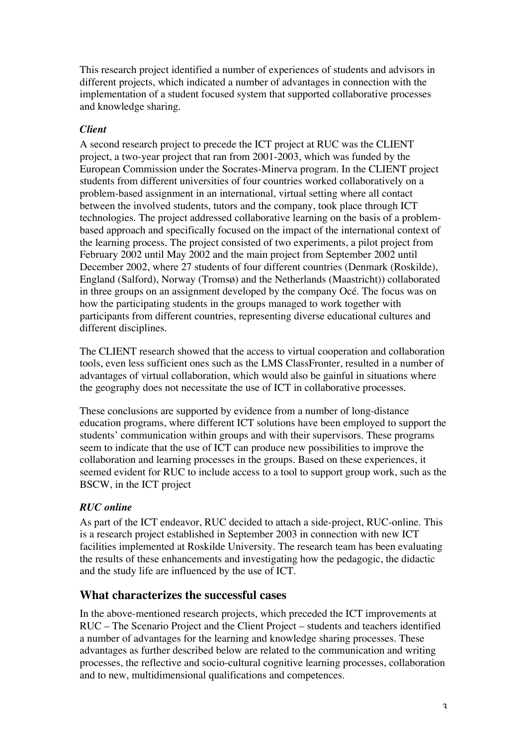This research project identified a number of experiences of students and advisors in different projects, which indicated a number of advantages in connection with the implementation of a student focused system that supported collaborative processes and knowledge sharing.

### *Client*

A second research project to precede the ICT project at RUC was the CLIENT project, a two-year project that ran from 2001-2003, which was funded by the European Commission under the Socrates-Minerva program. In the CLIENT project students from different universities of four countries worked collaboratively on a problem-based assignment in an international, virtual setting where all contact between the involved students, tutors and the company, took place through ICT technologies. The project addressed collaborative learning on the basis of a problembased approach and specifically focused on the impact of the international context of the learning process. The project consisted of two experiments, a pilot project from February 2002 until May 2002 and the main project from September 2002 until December 2002, where 27 students of four different countries (Denmark (Roskilde), England (Salford), Norway (Tromsø) and the Netherlands (Maastricht)) collaborated in three groups on an assignment developed by the company Océ. The focus was on how the participating students in the groups managed to work together with participants from different countries, representing diverse educational cultures and different disciplines.

The CLIENT research showed that the access to virtual cooperation and collaboration tools, even less sufficient ones such as the LMS ClassFronter, resulted in a number of advantages of virtual collaboration, which would also be gainful in situations where the geography does not necessitate the use of ICT in collaborative processes.

These conclusions are supported by evidence from a number of long-distance education programs, where different ICT solutions have been employed to support the students' communication within groups and with their supervisors. These programs seem to indicate that the use of ICT can produce new possibilities to improve the collaboration and learning processes in the groups. Based on these experiences, it seemed evident for RUC to include access to a tool to support group work, such as the BSCW, in the ICT project

# *RUC online*

As part of the ICT endeavor, RUC decided to attach a side-project, RUC-online. This is a research project established in September 2003 in connection with new ICT facilities implemented at Roskilde University. The research team has been evaluating the results of these enhancements and investigating how the pedagogic, the didactic and the study life are influenced by the use of ICT.

# **What characterizes the successful cases**

In the above-mentioned research projects, which preceded the ICT improvements at RUC – The Scenario Project and the Client Project – students and teachers identified a number of advantages for the learning and knowledge sharing processes. These advantages as further described below are related to the communication and writing processes, the reflective and socio-cultural cognitive learning processes, collaboration and to new, multidimensional qualifications and competences.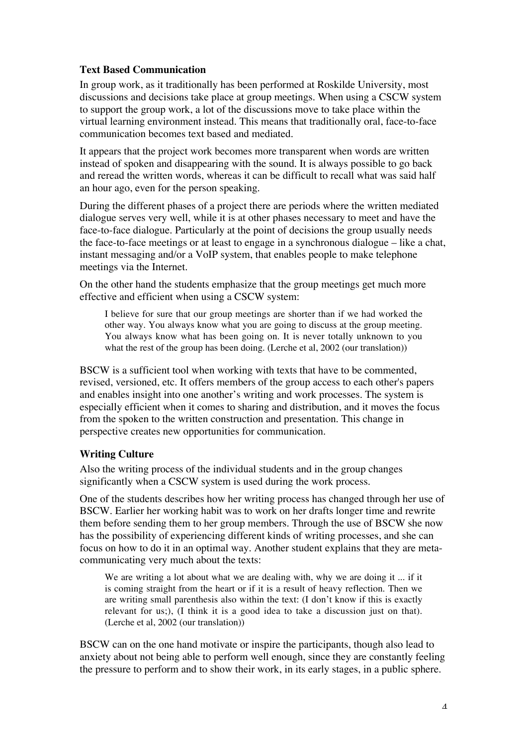### **Text Based Communication**

In group work, as it traditionally has been performed at Roskilde University, most discussions and decisions take place at group meetings. When using a CSCW system to support the group work, a lot of the discussions move to take place within the virtual learning environment instead. This means that traditionally oral, face-to-face communication becomes text based and mediated.

It appears that the project work becomes more transparent when words are written instead of spoken and disappearing with the sound. It is always possible to go back and reread the written words, whereas it can be difficult to recall what was said half an hour ago, even for the person speaking.

During the different phases of a project there are periods where the written mediated dialogue serves very well, while it is at other phases necessary to meet and have the face-to-face dialogue. Particularly at the point of decisions the group usually needs the face-to-face meetings or at least to engage in a synchronous dialogue – like a chat, instant messaging and/or a VoIP system, that enables people to make telephone meetings via the Internet.

On the other hand the students emphasize that the group meetings get much more effective and efficient when using a CSCW system:

I believe for sure that our group meetings are shorter than if we had worked the other way. You always know what you are going to discuss at the group meeting. You always know what has been going on. It is never totally unknown to you what the rest of the group has been doing. (Lerche et al, 2002 (our translation))

BSCW is a sufficient tool when working with texts that have to be commented, revised, versioned, etc. It offers members of the group access to each other's papers and enables insight into one another's writing and work processes. The system is especially efficient when it comes to sharing and distribution, and it moves the focus from the spoken to the written construction and presentation. This change in perspective creates new opportunities for communication.

### **Writing Culture**

Also the writing process of the individual students and in the group changes significantly when a CSCW system is used during the work process.

One of the students describes how her writing process has changed through her use of BSCW. Earlier her working habit was to work on her drafts longer time and rewrite them before sending them to her group members. Through the use of BSCW she now has the possibility of experiencing different kinds of writing processes, and she can focus on how to do it in an optimal way. Another student explains that they are metacommunicating very much about the texts:

We are writing a lot about what we are dealing with, why we are doing it ... if it is coming straight from the heart or if it is a result of heavy reflection. Then we are writing small parenthesis also within the text: (I don't know if this is exactly relevant for us;), (I think it is a good idea to take a discussion just on that). (Lerche et al, 2002 (our translation))

BSCW can on the one hand motivate or inspire the participants, though also lead to anxiety about not being able to perform well enough, since they are constantly feeling the pressure to perform and to show their work, in its early stages, in a public sphere.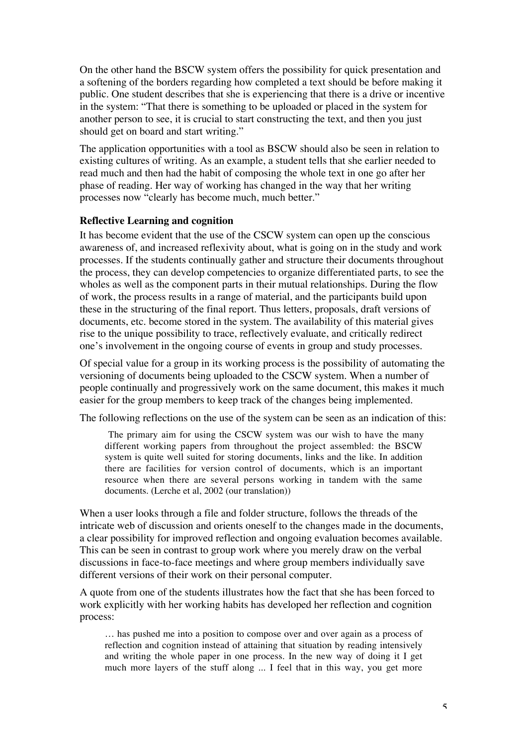On the other hand the BSCW system offers the possibility for quick presentation and a softening of the borders regarding how completed a text should be before making it public. One student describes that she is experiencing that there is a drive or incentive in the system: "That there is something to be uploaded or placed in the system for another person to see, it is crucial to start constructing the text, and then you just should get on board and start writing."

The application opportunities with a tool as BSCW should also be seen in relation to existing cultures of writing. As an example, a student tells that she earlier needed to read much and then had the habit of composing the whole text in one go after her phase of reading. Her way of working has changed in the way that her writing processes now "clearly has become much, much better."

### **Reflective Learning and cognition**

It has become evident that the use of the CSCW system can open up the conscious awareness of, and increased reflexivity about, what is going on in the study and work processes. If the students continually gather and structure their documents throughout the process, they can develop competencies to organize differentiated parts, to see the wholes as well as the component parts in their mutual relationships. During the flow of work, the process results in a range of material, and the participants build upon these in the structuring of the final report. Thus letters, proposals, draft versions of documents, etc. become stored in the system. The availability of this material gives rise to the unique possibility to trace, reflectively evaluate, and critically redirect one's involvement in the ongoing course of events in group and study processes.

Of special value for a group in its working process is the possibility of automating the versioning of documents being uploaded to the CSCW system. When a number of people continually and progressively work on the same document, this makes it much easier for the group members to keep track of the changes being implemented.

The following reflections on the use of the system can be seen as an indication of this:

The primary aim for using the CSCW system was our wish to have the many different working papers from throughout the project assembled: the BSCW system is quite well suited for storing documents, links and the like. In addition there are facilities for version control of documents, which is an important resource when there are several persons working in tandem with the same documents. (Lerche et al, 2002 (our translation))

When a user looks through a file and folder structure, follows the threads of the intricate web of discussion and orients oneself to the changes made in the documents, a clear possibility for improved reflection and ongoing evaluation becomes available. This can be seen in contrast to group work where you merely draw on the verbal discussions in face-to-face meetings and where group members individually save different versions of their work on their personal computer.

A quote from one of the students illustrates how the fact that she has been forced to work explicitly with her working habits has developed her reflection and cognition process:

… has pushed me into a position to compose over and over again as a process of reflection and cognition instead of attaining that situation by reading intensively and writing the whole paper in one process. In the new way of doing it I get much more layers of the stuff along ... I feel that in this way, you get more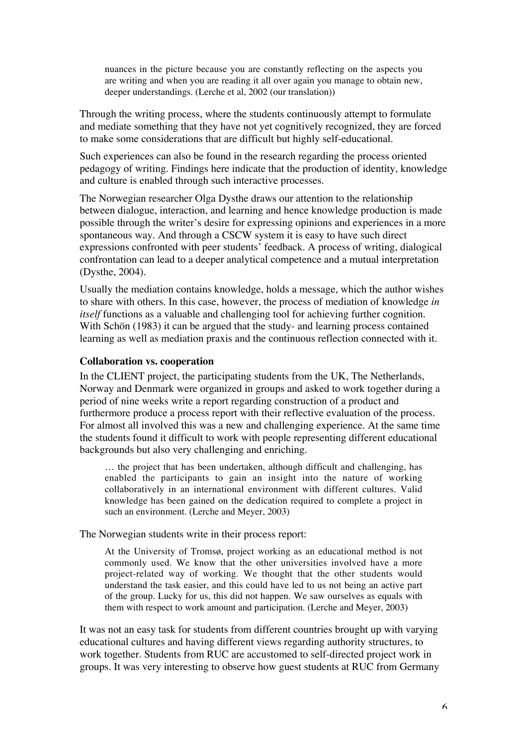nuances in the picture because you are constantly reflecting on the aspects you are writing and when you are reading it all over again you manage to obtain new, deeper understandings. (Lerche et al, 2002 (our translation))

Through the writing process, where the students continuously attempt to formulate and mediate something that they have not yet cognitively recognized, they are forced to make some considerations that are difficult but highly self-educational.

Such experiences can also be found in the research regarding the process oriented pedagogy of writing. Findings here indicate that the production of identity, knowledge and culture is enabled through such interactive processes.

The Norwegian researcher Olga Dysthe draws our attention to the relationship between dialogue, interaction, and learning and hence knowledge production is made possible through the writer's desire for expressing opinions and experiences in a more spontaneous way. And through a CSCW system it is easy to have such direct expressions confronted with peer students' feedback. A process of writing, dialogical confrontation can lead to a deeper analytical competence and a mutual interpretation (Dysthe, 2004).

Usually the mediation contains knowledge, holds a message, which the author wishes to share with others. In this case, however, the process of mediation of knowledge *in itself* functions as a valuable and challenging tool for achieving further cognition. With Schön (1983) it can be argued that the study- and learning process contained learning as well as mediation praxis and the continuous reflection connected with it.

#### **Collaboration vs. cooperation**

In the CLIENT project, the participating students from the UK, The Netherlands, Norway and Denmark were organized in groups and asked to work together during a period of nine weeks write a report regarding construction of a product and furthermore produce a process report with their reflective evaluation of the process. For almost all involved this was a new and challenging experience. At the same time the students found it difficult to work with people representing different educational backgrounds but also very challenging and enriching.

… the project that has been undertaken, although difficult and challenging, has enabled the participants to gain an insight into the nature of working collaboratively in an international environment with different cultures. Valid knowledge has been gained on the dedication required to complete a project in such an environment. (Lerche and Meyer, 2003)

The Norwegian students write in their process report:

At the University of Tromsø, project working as an educational method is not commonly used. We know that the other universities involved have a more project-related way of working. We thought that the other students would understand the task easier, and this could have led to us not being an active part of the group. Lucky for us, this did not happen. We saw ourselves as equals with them with respect to work amount and participation. (Lerche and Meyer, 2003)

It was not an easy task for students from different countries brought up with varying educational cultures and having different views regarding authority structures, to work together. Students from RUC are accustomed to self-directed project work in groups. It was very interesting to observe how guest students at RUC from Germany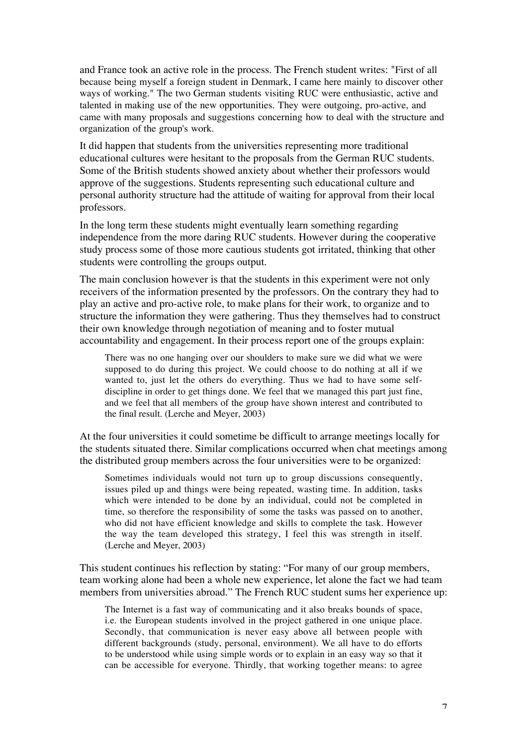and France took an active role in the process. The French student writes: "First of all because being myself a foreign student in Denmark, I came here mainly to discover other ways of working." The two German students visiting RUC were enthusiastic, active and talented in making use of the new opportunities. They were outgoing, pro-active, and came with many proposals and suggestions concerning how to deal with the structure and organization of the group's work.

It did happen that students from the universities representing more traditional educational cultures were hesitant to the proposals from the German RUC students. Some of the British students showed anxiety about whether their professors would approve of the suggestions. Students representing such educational culture and personal authority structure had the attitude of waiting for approval from their local professors.

In the long term these students might eventually learn something regarding independence from the more daring RUC students. However during the cooperative study process some of those more cautious students got irritated, thinking that other students were controlling the groups output.

The main conclusion however is that the students in this experiment were not only receivers of the information presented by the professors. On the contrary they had to play an active and pro-active role, to make plans for their work, to organize and to structure the information they were gathering. Thus they themselves had to construct their own knowledge through negotiation of meaning and to foster mutual accountability and engagement. In their process report one of the groups explain:

There was no one hanging over our shoulders to make sure we did what we were supposed to do during this project. We could choose to do nothing at all if we wanted to, just let the others do everything. Thus we had to have some selfdiscipline in order to get things done. We feel that we managed this part just fine, and we feel that all members of the group have shown interest and contributed to the final result. (Lerche and Meyer, 2003)

At the four universities it could sometime be difficult to arrange meetings locally for the students situated there. Similar complications occurred when chat meetings among the distributed group members across the four universities were to be organized:

Sometimes individuals would not turn up to group discussions consequently, issues piled up and things were being repeated, wasting time. In addition, tasks which were intended to be done by an individual, could not be completed in time, so therefore the responsibility of some the tasks was passed on to another, who did not have efficient knowledge and skills to complete the task. However the way the team developed this strategy, I feel this was strength in itself. (Lerche and Meyer, 2003)

This student continues his reflection by stating: "For many of our group members, team working alone had been a whole new experience, let alone the fact we had team members from universities abroad." The French RUC student sums her experience up:

The Internet is a fast way of communicating and it also breaks bounds of space, i.e. the European students involved in the project gathered in one unique place. Secondly, that communication is never easy above all between people with different backgrounds (study, personal, environment). We all have to do efforts to be understood while using simple words or to explain in an easy way so that it can be accessible for everyone. Thirdly, that working together means: to agree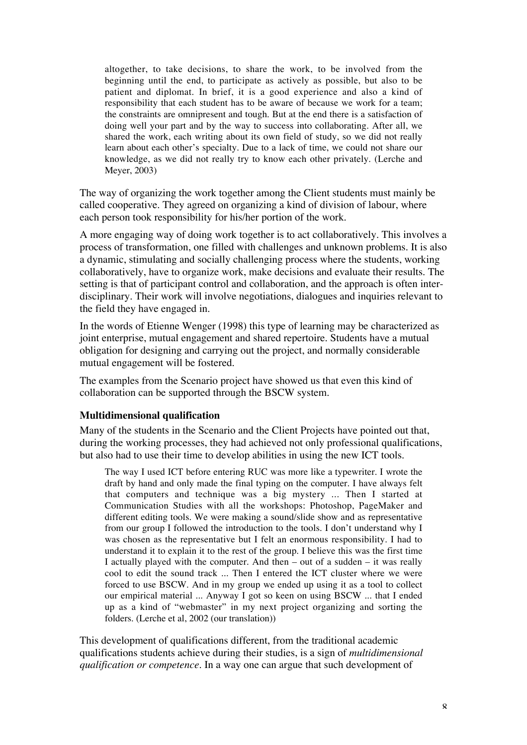altogether, to take decisions, to share the work, to be involved from the beginning until the end, to participate as actively as possible, but also to be patient and diplomat. In brief, it is a good experience and also a kind of responsibility that each student has to be aware of because we work for a team; the constraints are omnipresent and tough. But at the end there is a satisfaction of doing well your part and by the way to success into collaborating. After all, we shared the work, each writing about its own field of study, so we did not really learn about each other's specialty. Due to a lack of time, we could not share our knowledge, as we did not really try to know each other privately. (Lerche and Meyer, 2003)

The way of organizing the work together among the Client students must mainly be called cooperative. They agreed on organizing a kind of division of labour, where each person took responsibility for his/her portion of the work.

A more engaging way of doing work together is to act collaboratively. This involves a process of transformation, one filled with challenges and unknown problems. It is also a dynamic, stimulating and socially challenging process where the students, working collaboratively, have to organize work, make decisions and evaluate their results. The setting is that of participant control and collaboration, and the approach is often interdisciplinary. Their work will involve negotiations, dialogues and inquiries relevant to the field they have engaged in.

In the words of Etienne Wenger (1998) this type of learning may be characterized as joint enterprise, mutual engagement and shared repertoire. Students have a mutual obligation for designing and carrying out the project, and normally considerable mutual engagement will be fostered.

The examples from the Scenario project have showed us that even this kind of collaboration can be supported through the BSCW system.

#### **Multidimensional qualification**

Many of the students in the Scenario and the Client Projects have pointed out that, during the working processes, they had achieved not only professional qualifications, but also had to use their time to develop abilities in using the new ICT tools.

The way I used ICT before entering RUC was more like a typewriter. I wrote the draft by hand and only made the final typing on the computer. I have always felt that computers and technique was a big mystery ... Then I started at Communication Studies with all the workshops: Photoshop, PageMaker and different editing tools. We were making a sound/slide show and as representative from our group I followed the introduction to the tools. I don't understand why I was chosen as the representative but I felt an enormous responsibility. I had to understand it to explain it to the rest of the group. I believe this was the first time I actually played with the computer. And then  $-$  out of a sudden  $-$  it was really cool to edit the sound track ... Then I entered the ICT cluster where we were forced to use BSCW. And in my group we ended up using it as a tool to collect our empirical material ... Anyway I got so keen on using BSCW ... that I ended up as a kind of "webmaster" in my next project organizing and sorting the folders. (Lerche et al, 2002 (our translation))

This development of qualifications different, from the traditional academic qualifications students achieve during their studies, is a sign of *multidimensional qualification or competence*. In a way one can argue that such development of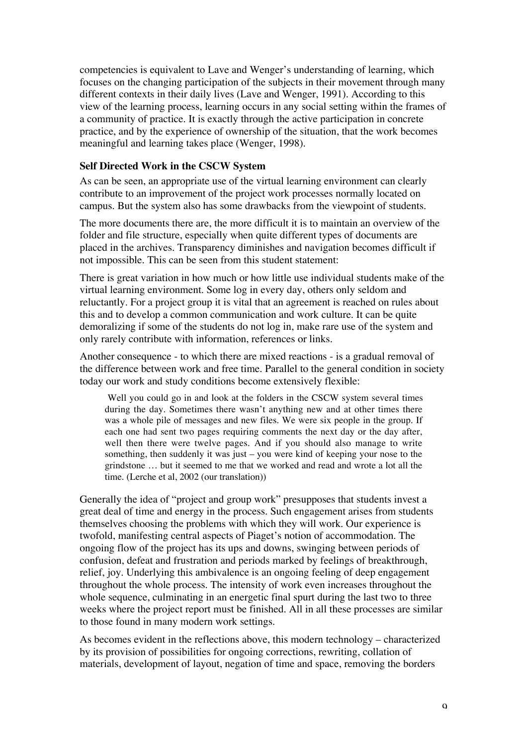competencies is equivalent to Lave and Wenger's understanding of learning, which focuses on the changing participation of the subjects in their movement through many different contexts in their daily lives (Lave and Wenger, 1991). According to this view of the learning process, learning occurs in any social setting within the frames of a community of practice. It is exactly through the active participation in concrete practice, and by the experience of ownership of the situation, that the work becomes meaningful and learning takes place (Wenger, 1998).

### **Self Directed Work in the CSCW System**

As can be seen, an appropriate use of the virtual learning environment can clearly contribute to an improvement of the project work processes normally located on campus. But the system also has some drawbacks from the viewpoint of students.

The more documents there are, the more difficult it is to maintain an overview of the folder and file structure, especially when quite different types of documents are placed in the archives. Transparency diminishes and navigation becomes difficult if not impossible. This can be seen from this student statement:

There is great variation in how much or how little use individual students make of the virtual learning environment. Some log in every day, others only seldom and reluctantly. For a project group it is vital that an agreement is reached on rules about this and to develop a common communication and work culture. It can be quite demoralizing if some of the students do not log in, make rare use of the system and only rarely contribute with information, references or links.

Another consequence - to which there are mixed reactions - is a gradual removal of the difference between work and free time. Parallel to the general condition in society today our work and study conditions become extensively flexible:

Well you could go in and look at the folders in the CSCW system several times during the day. Sometimes there wasn't anything new and at other times there was a whole pile of messages and new files. We were six people in the group. If each one had sent two pages requiring comments the next day or the day after, well then there were twelve pages. And if you should also manage to write something, then suddenly it was just – you were kind of keeping your nose to the grindstone … but it seemed to me that we worked and read and wrote a lot all the time. (Lerche et al, 2002 (our translation))

Generally the idea of "project and group work" presupposes that students invest a great deal of time and energy in the process. Such engagement arises from students themselves choosing the problems with which they will work. Our experience is twofold, manifesting central aspects of Piaget's notion of accommodation. The ongoing flow of the project has its ups and downs, swinging between periods of confusion, defeat and frustration and periods marked by feelings of breakthrough, relief, joy. Underlying this ambivalence is an ongoing feeling of deep engagement throughout the whole process. The intensity of work even increases throughout the whole sequence, culminating in an energetic final spurt during the last two to three weeks where the project report must be finished. All in all these processes are similar to those found in many modern work settings.

As becomes evident in the reflections above, this modern technology – characterized by its provision of possibilities for ongoing corrections, rewriting, collation of materials, development of layout, negation of time and space, removing the borders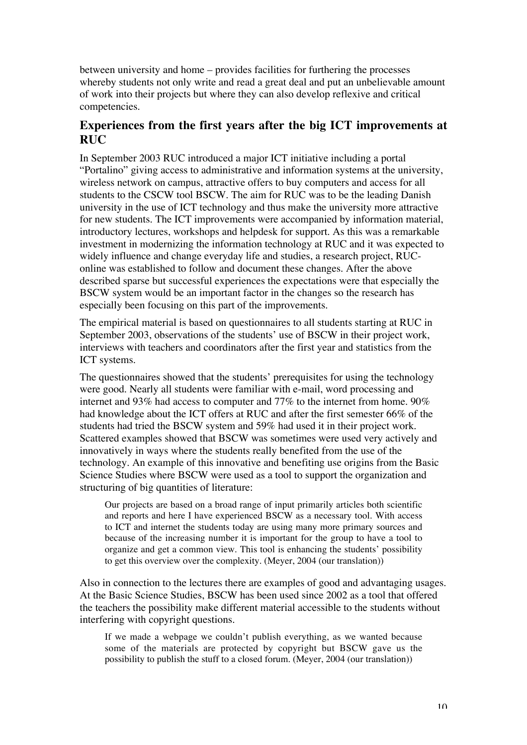between university and home – provides facilities for furthering the processes whereby students not only write and read a great deal and put an unbelievable amount of work into their projects but where they can also develop reflexive and critical competencies.

# **Experiences from the first years after the big ICT improvements at RUC**

In September 2003 RUC introduced a major ICT initiative including a portal "Portalino" giving access to administrative and information systems at the university, wireless network on campus, attractive offers to buy computers and access for all students to the CSCW tool BSCW. The aim for RUC was to be the leading Danish university in the use of ICT technology and thus make the university more attractive for new students. The ICT improvements were accompanied by information material, introductory lectures, workshops and helpdesk for support. As this was a remarkable investment in modernizing the information technology at RUC and it was expected to widely influence and change everyday life and studies, a research project, RUConline was established to follow and document these changes. After the above described sparse but successful experiences the expectations were that especially the BSCW system would be an important factor in the changes so the research has especially been focusing on this part of the improvements.

The empirical material is based on questionnaires to all students starting at RUC in September 2003, observations of the students' use of BSCW in their project work, interviews with teachers and coordinators after the first year and statistics from the ICT systems.

The questionnaires showed that the students' prerequisites for using the technology were good. Nearly all students were familiar with e-mail, word processing and internet and 93% had access to computer and 77% to the internet from home. 90% had knowledge about the ICT offers at RUC and after the first semester 66% of the students had tried the BSCW system and 59% had used it in their project work. Scattered examples showed that BSCW was sometimes were used very actively and innovatively in ways where the students really benefited from the use of the technology. An example of this innovative and benefiting use origins from the Basic Science Studies where BSCW were used as a tool to support the organization and structuring of big quantities of literature:

Our projects are based on a broad range of input primarily articles both scientific and reports and here I have experienced BSCW as a necessary tool. With access to ICT and internet the students today are using many more primary sources and because of the increasing number it is important for the group to have a tool to organize and get a common view. This tool is enhancing the students' possibility to get this overview over the complexity. (Meyer, 2004 (our translation))

Also in connection to the lectures there are examples of good and advantaging usages. At the Basic Science Studies, BSCW has been used since 2002 as a tool that offered the teachers the possibility make different material accessible to the students without interfering with copyright questions.

If we made a webpage we couldn't publish everything, as we wanted because some of the materials are protected by copyright but BSCW gave us the possibility to publish the stuff to a closed forum. (Meyer, 2004 (our translation))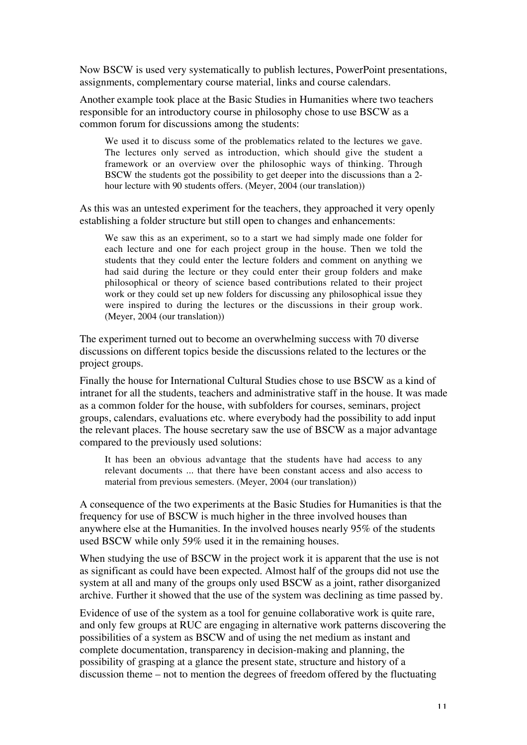Now BSCW is used very systematically to publish lectures, PowerPoint presentations, assignments, complementary course material, links and course calendars.

Another example took place at the Basic Studies in Humanities where two teachers responsible for an introductory course in philosophy chose to use BSCW as a common forum for discussions among the students:

We used it to discuss some of the problematics related to the lectures we gave. The lectures only served as introduction, which should give the student a framework or an overview over the philosophic ways of thinking. Through BSCW the students got the possibility to get deeper into the discussions than a 2 hour lecture with 90 students offers. (Meyer, 2004 (our translation))

As this was an untested experiment for the teachers, they approached it very openly establishing a folder structure but still open to changes and enhancements:

We saw this as an experiment, so to a start we had simply made one folder for each lecture and one for each project group in the house. Then we told the students that they could enter the lecture folders and comment on anything we had said during the lecture or they could enter their group folders and make philosophical or theory of science based contributions related to their project work or they could set up new folders for discussing any philosophical issue they were inspired to during the lectures or the discussions in their group work. (Meyer, 2004 (our translation))

The experiment turned out to become an overwhelming success with 70 diverse discussions on different topics beside the discussions related to the lectures or the project groups.

Finally the house for International Cultural Studies chose to use BSCW as a kind of intranet for all the students, teachers and administrative staff in the house. It was made as a common folder for the house, with subfolders for courses, seminars, project groups, calendars, evaluations etc. where everybody had the possibility to add input the relevant places. The house secretary saw the use of BSCW as a major advantage compared to the previously used solutions:

It has been an obvious advantage that the students have had access to any relevant documents ... that there have been constant access and also access to material from previous semesters. (Meyer, 2004 (our translation))

A consequence of the two experiments at the Basic Studies for Humanities is that the frequency for use of BSCW is much higher in the three involved houses than anywhere else at the Humanities. In the involved houses nearly 95% of the students used BSCW while only 59% used it in the remaining houses.

When studying the use of BSCW in the project work it is apparent that the use is not as significant as could have been expected. Almost half of the groups did not use the system at all and many of the groups only used BSCW as a joint, rather disorganized archive. Further it showed that the use of the system was declining as time passed by.

Evidence of use of the system as a tool for genuine collaborative work is quite rare, and only few groups at RUC are engaging in alternative work patterns discovering the possibilities of a system as BSCW and of using the net medium as instant and complete documentation, transparency in decision-making and planning, the possibility of grasping at a glance the present state, structure and history of a discussion theme – not to mention the degrees of freedom offered by the fluctuating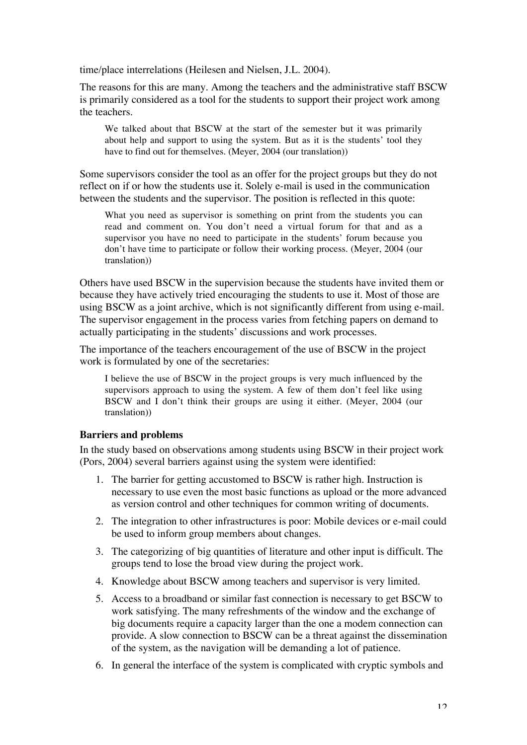time/place interrelations (Heilesen and Nielsen, J.L. 2004).

The reasons for this are many. Among the teachers and the administrative staff BSCW is primarily considered as a tool for the students to support their project work among the teachers.

We talked about that BSCW at the start of the semester but it was primarily about help and support to using the system. But as it is the students' tool they have to find out for themselves. (Meyer, 2004 (our translation))

Some supervisors consider the tool as an offer for the project groups but they do not reflect on if or how the students use it. Solely e-mail is used in the communication between the students and the supervisor. The position is reflected in this quote:

What you need as supervisor is something on print from the students you can read and comment on. You don't need a virtual forum for that and as a supervisor you have no need to participate in the students' forum because you don't have time to participate or follow their working process. (Meyer, 2004 (our translation))

Others have used BSCW in the supervision because the students have invited them or because they have actively tried encouraging the students to use it. Most of those are using BSCW as a joint archive, which is not significantly different from using e-mail. The supervisor engagement in the process varies from fetching papers on demand to actually participating in the students' discussions and work processes.

The importance of the teachers encouragement of the use of BSCW in the project work is formulated by one of the secretaries:

I believe the use of BSCW in the project groups is very much influenced by the supervisors approach to using the system. A few of them don't feel like using BSCW and I don't think their groups are using it either. (Meyer, 2004 (our translation))

### **Barriers and problems**

In the study based on observations among students using BSCW in their project work (Pors, 2004) several barriers against using the system were identified:

- 1. The barrier for getting accustomed to BSCW is rather high. Instruction is necessary to use even the most basic functions as upload or the more advanced as version control and other techniques for common writing of documents.
- 2. The integration to other infrastructures is poor: Mobile devices or e-mail could be used to inform group members about changes.
- 3. The categorizing of big quantities of literature and other input is difficult. The groups tend to lose the broad view during the project work.
- 4. Knowledge about BSCW among teachers and supervisor is very limited.
- 5. Access to a broadband or similar fast connection is necessary to get BSCW to work satisfying. The many refreshments of the window and the exchange of big documents require a capacity larger than the one a modem connection can provide. A slow connection to BSCW can be a threat against the dissemination of the system, as the navigation will be demanding a lot of patience.
- 6. In general the interface of the system is complicated with cryptic symbols and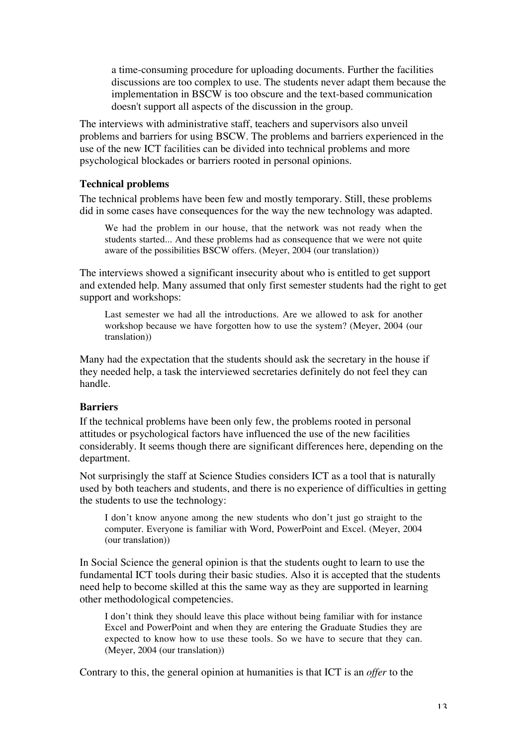a time-consuming procedure for uploading documents. Further the facilities discussions are too complex to use. The students never adapt them because the implementation in BSCW is too obscure and the text-based communication doesn't support all aspects of the discussion in the group.

The interviews with administrative staff, teachers and supervisors also unveil problems and barriers for using BSCW. The problems and barriers experienced in the use of the new ICT facilities can be divided into technical problems and more psychological blockades or barriers rooted in personal opinions.

#### **Technical problems**

The technical problems have been few and mostly temporary. Still, these problems did in some cases have consequences for the way the new technology was adapted.

We had the problem in our house, that the network was not ready when the students started... And these problems had as consequence that we were not quite aware of the possibilities BSCW offers. (Meyer, 2004 (our translation))

The interviews showed a significant insecurity about who is entitled to get support and extended help. Many assumed that only first semester students had the right to get support and workshops:

Last semester we had all the introductions. Are we allowed to ask for another workshop because we have forgotten how to use the system? (Meyer, 2004 (our translation))

Many had the expectation that the students should ask the secretary in the house if they needed help, a task the interviewed secretaries definitely do not feel they can handle.

#### **Barriers**

If the technical problems have been only few, the problems rooted in personal attitudes or psychological factors have influenced the use of the new facilities considerably. It seems though there are significant differences here, depending on the department.

Not surprisingly the staff at Science Studies considers ICT as a tool that is naturally used by both teachers and students, and there is no experience of difficulties in getting the students to use the technology:

I don't know anyone among the new students who don't just go straight to the computer. Everyone is familiar with Word, PowerPoint and Excel. (Meyer, 2004 (our translation))

In Social Science the general opinion is that the students ought to learn to use the fundamental ICT tools during their basic studies. Also it is accepted that the students need help to become skilled at this the same way as they are supported in learning other methodological competencies.

I don't think they should leave this place without being familiar with for instance Excel and PowerPoint and when they are entering the Graduate Studies they are expected to know how to use these tools. So we have to secure that they can. (Meyer, 2004 (our translation))

Contrary to this, the general opinion at humanities is that ICT is an *offer* to the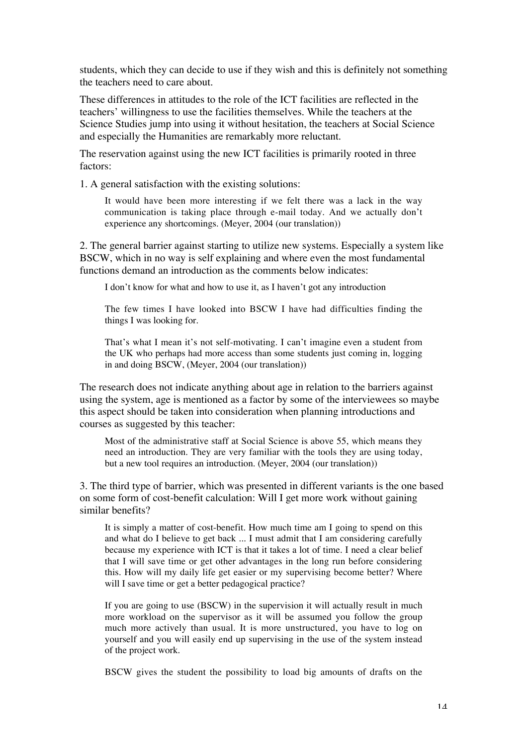students, which they can decide to use if they wish and this is definitely not something the teachers need to care about.

These differences in attitudes to the role of the ICT facilities are reflected in the teachers' willingness to use the facilities themselves. While the teachers at the Science Studies jump into using it without hesitation, the teachers at Social Science and especially the Humanities are remarkably more reluctant.

The reservation against using the new ICT facilities is primarily rooted in three factors:

1. A general satisfaction with the existing solutions:

It would have been more interesting if we felt there was a lack in the way communication is taking place through e-mail today. And we actually don't experience any shortcomings. (Meyer, 2004 (our translation))

2. The general barrier against starting to utilize new systems. Especially a system like BSCW, which in no way is self explaining and where even the most fundamental functions demand an introduction as the comments below indicates:

I don't know for what and how to use it, as I haven't got any introduction

The few times I have looked into BSCW I have had difficulties finding the things I was looking for.

That's what I mean it's not self-motivating. I can't imagine even a student from the UK who perhaps had more access than some students just coming in, logging in and doing BSCW, (Meyer, 2004 (our translation))

The research does not indicate anything about age in relation to the barriers against using the system, age is mentioned as a factor by some of the interviewees so maybe this aspect should be taken into consideration when planning introductions and courses as suggested by this teacher:

Most of the administrative staff at Social Science is above 55, which means they need an introduction. They are very familiar with the tools they are using today, but a new tool requires an introduction. (Meyer, 2004 (our translation))

3. The third type of barrier, which was presented in different variants is the one based on some form of cost-benefit calculation: Will I get more work without gaining similar benefits?

It is simply a matter of cost-benefit. How much time am I going to spend on this and what do I believe to get back ... I must admit that I am considering carefully because my experience with ICT is that it takes a lot of time. I need a clear belief that I will save time or get other advantages in the long run before considering this. How will my daily life get easier or my supervising become better? Where will I save time or get a better pedagogical practice?

If you are going to use (BSCW) in the supervision it will actually result in much more workload on the supervisor as it will be assumed you follow the group much more actively than usual. It is more unstructured, you have to log on yourself and you will easily end up supervising in the use of the system instead of the project work.

BSCW gives the student the possibility to load big amounts of drafts on the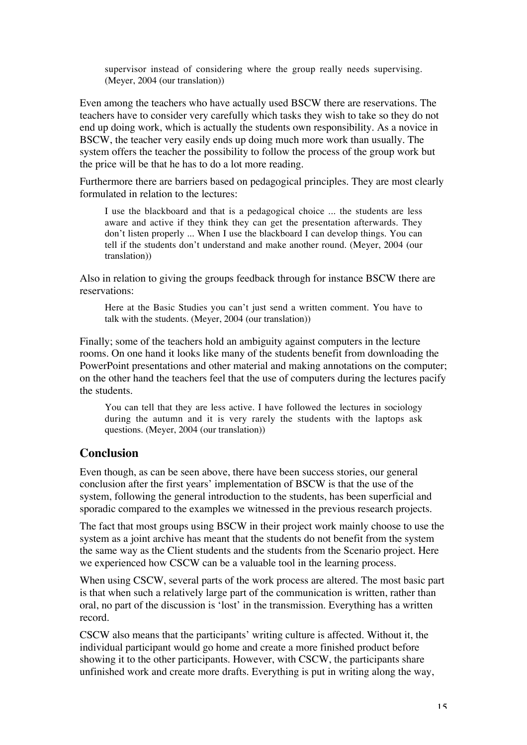supervisor instead of considering where the group really needs supervising. (Meyer, 2004 (our translation))

Even among the teachers who have actually used BSCW there are reservations. The teachers have to consider very carefully which tasks they wish to take so they do not end up doing work, which is actually the students own responsibility. As a novice in BSCW, the teacher very easily ends up doing much more work than usually. The system offers the teacher the possibility to follow the process of the group work but the price will be that he has to do a lot more reading.

Furthermore there are barriers based on pedagogical principles. They are most clearly formulated in relation to the lectures:

I use the blackboard and that is a pedagogical choice ... the students are less aware and active if they think they can get the presentation afterwards. They don't listen properly ... When I use the blackboard I can develop things. You can tell if the students don't understand and make another round. (Meyer, 2004 (our translation))

Also in relation to giving the groups feedback through for instance BSCW there are reservations:

Here at the Basic Studies you can't just send a written comment. You have to talk with the students. (Meyer, 2004 (our translation))

Finally; some of the teachers hold an ambiguity against computers in the lecture rooms. On one hand it looks like many of the students benefit from downloading the PowerPoint presentations and other material and making annotations on the computer; on the other hand the teachers feel that the use of computers during the lectures pacify the students.

You can tell that they are less active. I have followed the lectures in sociology during the autumn and it is very rarely the students with the laptops ask questions. (Meyer, 2004 (our translation))

### **Conclusion**

Even though, as can be seen above, there have been success stories, our general conclusion after the first years' implementation of BSCW is that the use of the system, following the general introduction to the students, has been superficial and sporadic compared to the examples we witnessed in the previous research projects.

The fact that most groups using BSCW in their project work mainly choose to use the system as a joint archive has meant that the students do not benefit from the system the same way as the Client students and the students from the Scenario project. Here we experienced how CSCW can be a valuable tool in the learning process.

When using CSCW, several parts of the work process are altered. The most basic part is that when such a relatively large part of the communication is written, rather than oral, no part of the discussion is 'lost' in the transmission. Everything has a written record.

CSCW also means that the participants' writing culture is affected. Without it, the individual participant would go home and create a more finished product before showing it to the other participants. However, with CSCW, the participants share unfinished work and create more drafts. Everything is put in writing along the way,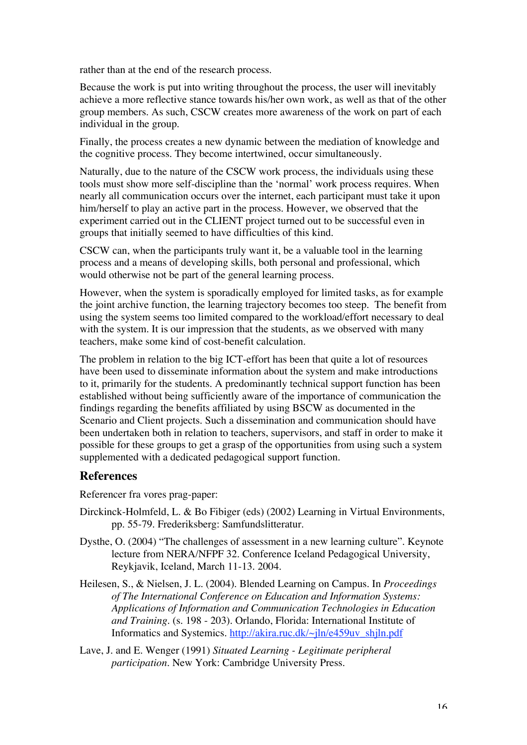rather than at the end of the research process.

Because the work is put into writing throughout the process, the user will inevitably achieve a more reflective stance towards his/her own work, as well as that of the other group members. As such, CSCW creates more awareness of the work on part of each individual in the group.

Finally, the process creates a new dynamic between the mediation of knowledge and the cognitive process. They become intertwined, occur simultaneously.

Naturally, due to the nature of the CSCW work process, the individuals using these tools must show more self-discipline than the 'normal' work process requires. When nearly all communication occurs over the internet, each participant must take it upon him/herself to play an active part in the process. However, we observed that the experiment carried out in the CLIENT project turned out to be successful even in groups that initially seemed to have difficulties of this kind.

CSCW can, when the participants truly want it, be a valuable tool in the learning process and a means of developing skills, both personal and professional, which would otherwise not be part of the general learning process.

However, when the system is sporadically employed for limited tasks, as for example the joint archive function, the learning trajectory becomes too steep. The benefit from using the system seems too limited compared to the workload/effort necessary to deal with the system. It is our impression that the students, as we observed with many teachers, make some kind of cost-benefit calculation.

The problem in relation to the big ICT-effort has been that quite a lot of resources have been used to disseminate information about the system and make introductions to it, primarily for the students. A predominantly technical support function has been established without being sufficiently aware of the importance of communication the findings regarding the benefits affiliated by using BSCW as documented in the Scenario and Client projects. Such a dissemination and communication should have been undertaken both in relation to teachers, supervisors, and staff in order to make it possible for these groups to get a grasp of the opportunities from using such a system supplemented with a dedicated pedagogical support function.

# **References**

Referencer fra vores prag-paper:

- Dirckinck-Holmfeld, L. & Bo Fibiger (eds) (2002) Learning in Virtual Environments, pp. 55-79. Frederiksberg: Samfundslitteratur.
- Dysthe, O. (2004) "The challenges of assessment in a new learning culture". Keynote lecture from NERA/NFPF 32. Conference Iceland Pedagogical University, Reykjavik, Iceland, March 11-13. 2004.
- Heilesen, S., & Nielsen, J. L. (2004). Blended Learning on Campus. In *Proceedings of The International Conference on Education and Information Systems: Applications of Information and Communication Technologies in Education and Training.* (s. 198 - 203). Orlando, Florida: International Institute of Informatics and Systemics. http://akira.ruc.dk/~jln/e459uv\_shjln.pdf
- Lave, J. and E. Wenger (1991) *Situated Learning Legitimate peripheral participation*. New York: Cambridge University Press.